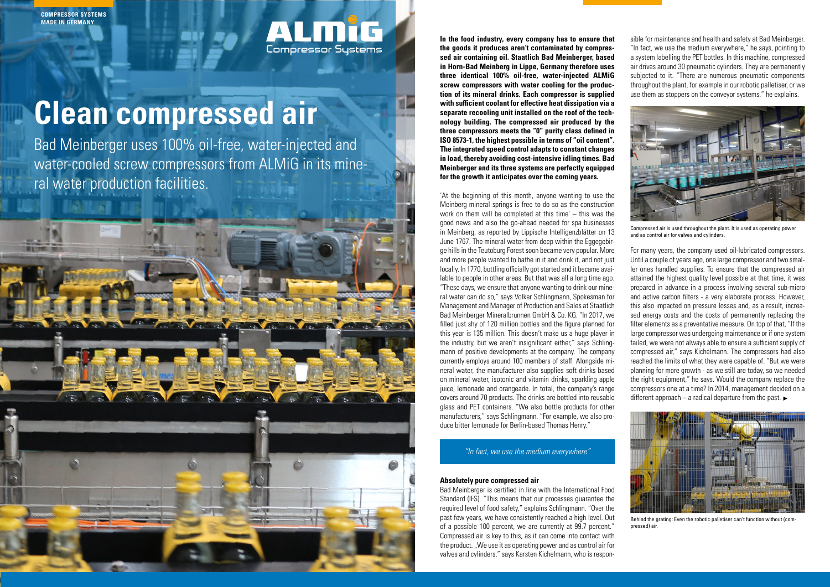**In the food industry, every company has to ensure that the goods it produces aren't contaminated by compressed air containing oil. Staatlich Bad Meinberger, based in Horn-Bad Meinberg in Lippe, Germany therefore uses three identical 100% oil-free, water-injected ALMiG screw compressors with water cooling for the production of its mineral drinks. Each compressor is supplied with sufficient coolant for effective heat dissipation via a separate recooling unit installed on the roof of the technology building. The compressed air produced by the three compressors meets the "0" purity class defined in ISO 8573-1, the highest possible in terms of "oil content". The integrated speed control adapts to constant changes in load, thereby avoiding cost-intensive idling times. Bad Meinberger and its three systems are perfectly equipped for the growth it anticipates over the coming years.** 

'At the beginning of this month, anyone wanting to use the Meinberg mineral springs is free to do so as the construction work on them will be completed at this time' – this was the good news and also the go-ahead needed for spa businesses in Meinberg, as reported by Lippische Intelligenzblätter on 13 June 1767. The mineral water from deep within the Eggegebirge hills in the Teutoburg Forest soon became very popular. More and more people wanted to bathe in it and drink it, and not just locally. In 1770, bottling officially got started and it became available to people in other areas. But that was all a long time ago. "These days, we ensure that anyone wanting to drink our mineral water can do so," says Volker Schlingmann, Spokesman for Management and Manager of Production and Sales at Staatlich Bad Meinberger Mineralbrunnen GmbH & Co. KG. "In 2017, we filled just shy of 120 million bottles and the figure planned for this year is 135 million. This doesn't make us a huge player in the industry, but we aren't insignificant either," says Schlingmann of positive developments at the company. The company currently employs around 100 members of staff. Alongside mineral water, the manufacturer also supplies soft drinks based on mineral water, isotonic and vitamin drinks, sparkling apple juice, lemonade and orangeade. In total, the company's range covers around 70 products. The drinks are bottled into reusable glass and PET containers. "We also bottle products for other manufacturers," says Schlingmann. "For example, we also produce bitter lemonade for Berlin-based Thomas Henry."

For many years, the company used oil-lubricated compressors. Until a couple of years ago, one large compressor and two smaller ones handled supplies. To ensure that the compressed air attained the highest quality level possible at that time, it was prepared in advance in a process involving several sub-micro and active carbon filters - a very elaborate process. However, this also impacted on pressure losses and, as a result, increased energy costs and the costs of permanently replacing the filter elements as a preventative measure. On top of that, "If the large compressor was undergoing maintenance or if one system failed, we were not always able to ensure a sufficient supply of compressed air," says Kichelmann. The compressors had also reached the limits of what they were capable of. "But we were planning for more growth - as we still are today, so we needed the right equipment," he says. Would the company replace the compressors one at a time? In 2014, management decided on a different approach – a radical departure from the past.  $\blacktriangleright$ 



Compressed air is used throughout the plant. It is used as operating power and as control air for valves and cylinders.

### **Absolutely pure compressed air**

Bad Meinberger is certified in line with the International Food Standard (IFS). "This means that our processes guarantee the required level of food safety," explains Schlingmann. "Over the past few years, we have consistently reached a high level. Out of a possible 100 percent, we are currently at 99.7 percent." Compressed air is key to this, as it can come into contact with the product. "We use it as operating power and as control air for valves and cylinders," says Karsten Kichelmann, who is respon-

sible for maintenance and health and safety at Bad Meinberger. "In fact, we use the medium everywhere," he says, pointing to a system labelling the PET bottles. In this machine, compressed air drives around 30 pneumatic cylinders. They are permanently subjected to it. "There are numerous pneumatic components throughout the plant, for example in our robotic palletiser, or we use them as stoppers on the conveyor systems," he explains.

# **Clean compressed air**

Bad Meinberger uses 100% oil-free, water-injected and water-cooled screw compressors from ALMiG in its mineral water production facilities.

**Compressor Systems** 



**COMPRESSOR SYSTEMS MADE IN GERMANY**

# "In fact, we use the medium everywhere"



Behind the grating: Even the robotic palletiser can't function without (compressed) air.